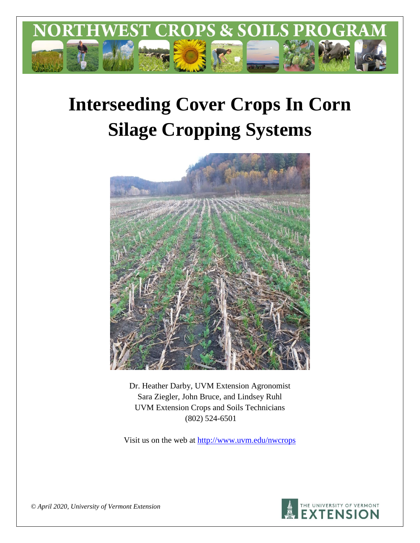

# **Interseeding Cover Crops In Corn Silage Cropping Systems**



Dr. Heather Darby, UVM Extension Agronomist Sara Ziegler, John Bruce, and Lindsey Ruhl UVM Extension Crops and Soils Technicians (802) 524-6501

Visit us on the web at <http://www.uvm.edu/nwcrops>



*© April 2020, University of Vermont Extension*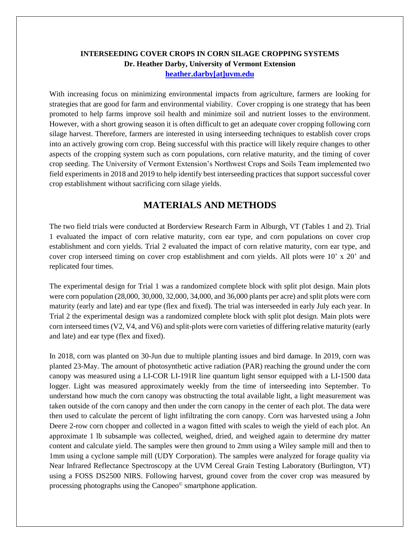# **INTERSEEDING COVER CROPS IN CORN SILAGE CROPPING SYSTEMS Dr. Heather Darby, University of Vermont Extension [heather.darby\[at\]uvm.edu](mailto:heather.darby@uvm.edu?subject=2013%20Long%20Season%20Corn%20Report)**

With increasing focus on minimizing environmental impacts from agriculture, farmers are looking for strategies that are good for farm and environmental viability. Cover cropping is one strategy that has been promoted to help farms improve soil health and minimize soil and nutrient losses to the environment. However, with a short growing season it is often difficult to get an adequate cover cropping following corn silage harvest. Therefore, farmers are interested in using interseeding techniques to establish cover crops into an actively growing corn crop. Being successful with this practice will likely require changes to other aspects of the cropping system such as corn populations, corn relative maturity, and the timing of cover crop seeding. The University of Vermont Extension's Northwest Crops and Soils Team implemented two field experiments in 2018 and 2019 to help identify best interseeding practices that support successful cover crop establishment without sacrificing corn silage yields.

# **MATERIALS AND METHODS**

The two field trials were conducted at Borderview Research Farm in Alburgh, VT (Tables 1 and 2). Trial 1 evaluated the impact of corn relative maturity, corn ear type, and corn populations on cover crop establishment and corn yields. Trial 2 evaluated the impact of corn relative maturity, corn ear type, and cover crop interseed timing on cover crop establishment and corn yields. All plots were 10' x 20' and replicated four times.

The experimental design for Trial 1 was a randomized complete block with split plot design. Main plots were corn population (28,000, 30,000, 32,000, 34,000, and 36,000 plants per acre) and split plots were corn maturity (early and late) and ear type (flex and fixed). The trial was interseeded in early July each year. In Trial 2 the experimental design was a randomized complete block with split plot design. Main plots were corn interseed times (V2, V4, and V6) and split-plots were corn varieties of differing relative maturity (early and late) and ear type (flex and fixed).

In 2018, corn was planted on 30-Jun due to multiple planting issues and bird damage. In 2019, corn was planted 23-May. The amount of photosynthetic active radiation (PAR) reaching the ground under the corn canopy was measured using a LI-COR LI-191R line quantum light sensor equipped with a LI-1500 data logger. Light was measured approximately weekly from the time of interseeding into September. To understand how much the corn canopy was obstructing the total available light, a light measurement was taken outside of the corn canopy and then under the corn canopy in the center of each plot. The data were then used to calculate the percent of light infiltrating the corn canopy. Corn was harvested using a John Deere 2-row corn chopper and collected in a wagon fitted with scales to weigh the yield of each plot. An approximate 1 lb subsample was collected, weighed, dried, and weighed again to determine dry matter content and calculate yield. The samples were then ground to 2mm using a Wiley sample mill and then to 1mm using a cyclone sample mill (UDY Corporation). The samples were analyzed for forage quality via Near Infrared Reflectance Spectroscopy at the UVM Cereal Grain Testing Laboratory (Burlington, VT) using a FOSS DS2500 NIRS. Following harvest, ground cover from the cover crop was measured by processing photographs using the Canopeo© smartphone application.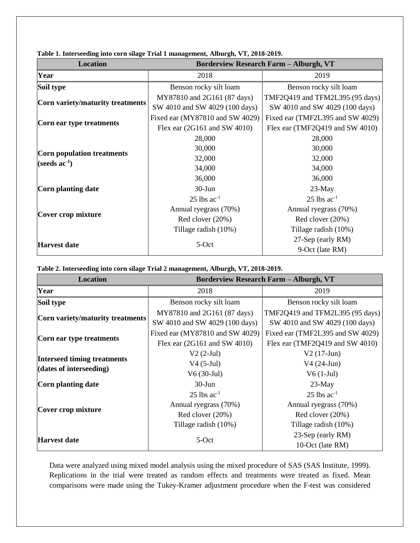| <b>Location</b>                                  | <b>Borderview Research Farm - Alburgh, VT</b> |                                  |  |  |  |  |  |
|--------------------------------------------------|-----------------------------------------------|----------------------------------|--|--|--|--|--|
| Year                                             | 2018                                          | 2019                             |  |  |  |  |  |
| Soil type                                        | Benson rocky silt loam                        | Benson rocky silt loam           |  |  |  |  |  |
| Corn variety/maturity treatments                 | MY87810 and 2G161 (87 days)                   | TMF2Q419 and TFM2L395 (95 days)  |  |  |  |  |  |
|                                                  | SW 4010 and SW 4029 (100 days)                | SW 4010 and SW 4029 (100 days)   |  |  |  |  |  |
|                                                  | Fixed ear (MY87810 and SW 4029)               | Fixed ear (TMF2L395 and SW 4029) |  |  |  |  |  |
| Corn ear type treatments                         | Flex ear $(2G161$ and SW 4010)                | Flex ear (TMF2Q419 and SW 4010)  |  |  |  |  |  |
|                                                  | 28,000                                        | 28,000                           |  |  |  |  |  |
|                                                  | 30,000                                        | 30,000                           |  |  |  |  |  |
| Corn population treatments<br>(seeds $ac^{-1}$ ) | 32,000                                        | 32,000                           |  |  |  |  |  |
|                                                  | 34,000                                        | 34,000                           |  |  |  |  |  |
|                                                  | 36,000                                        | 36,000                           |  |  |  |  |  |
| Corn planting date                               | $30-J$ un                                     | $23$ -May                        |  |  |  |  |  |
|                                                  | $25$ lbs $ac^{-1}$                            | $25$ lbs $ac^{-1}$               |  |  |  |  |  |
|                                                  | Annual ryegrass (70%)                         | Annual ryegrass (70%)            |  |  |  |  |  |
| Cover crop mixture                               | Red clover (20%)                              | Red clover (20%)                 |  |  |  |  |  |
|                                                  | Tillage radish (10%)                          | Tillage radish (10%)             |  |  |  |  |  |
|                                                  | 5-Oct                                         | 27-Sep (early RM)                |  |  |  |  |  |
| <b>Harvest date</b>                              |                                               | 9-Oct (late RM)                  |  |  |  |  |  |

**Table 1. Interseeding into corn silage Trial 1 management, Alburgh, VT, 2018-2019.**

**Table 2. Interseeding into corn silage Trial 2 management, Alburgh, VT, 2018-2019.**

| <b>Location</b>                                               | <b>Borderview Research Farm - Alburgh, VT</b>                                                  |                                                                                                |  |  |  |  |  |
|---------------------------------------------------------------|------------------------------------------------------------------------------------------------|------------------------------------------------------------------------------------------------|--|--|--|--|--|
| Year                                                          | 2018                                                                                           | 2019                                                                                           |  |  |  |  |  |
| Soil type                                                     | Benson rocky silt loam                                                                         | Benson rocky silt loam                                                                         |  |  |  |  |  |
| Corn variety/maturity treatments                              | MY87810 and 2G161 (87 days)<br>SW 4010 and SW 4029 (100 days)                                  | TMF2Q419 and TFM2L395 (95 days)<br>SW 4010 and SW 4029 (100 days)                              |  |  |  |  |  |
| Corn ear type treatments                                      | Fixed ear (MY87810 and SW 4029)<br>Flex ear $(2G161$ and SW 4010)                              | Fixed ear (TMF2L395 and SW 4029)<br>Flex ear (TMF2Q419 and SW 4010)                            |  |  |  |  |  |
| <b>Interseed timing treatments</b><br>(dates of interseeding) | $V2(2-Jul)$<br>$V4(5-Jul)$<br>$V6(30-Jul)$                                                     | $V2(17-Jun)$<br>$V4(24-Jun)$<br>$V6(1-Jul)$                                                    |  |  |  |  |  |
| Corn planting date                                            | $30-J$ un                                                                                      | $23-May$                                                                                       |  |  |  |  |  |
| Cover crop mixture                                            | $25$ lbs ac <sup>-1</sup><br>Annual ryegrass (70%)<br>Red clover (20%)<br>Tillage radish (10%) | $25$ lbs ac <sup>-1</sup><br>Annual ryegrass (70%)<br>Red clover (20%)<br>Tillage radish (10%) |  |  |  |  |  |
| <b>Harvest date</b>                                           | 5-Oct                                                                                          | 23-Sep (early RM)<br>10-Oct (late RM)                                                          |  |  |  |  |  |

Data were analyzed using mixed model analysis using the mixed procedure of SAS (SAS Institute, 1999). Replications in the trial were treated as random effects and treatments were treated as fixed. Mean comparisons were made using the Tukey-Kramer adjustment procedure when the F-test was considered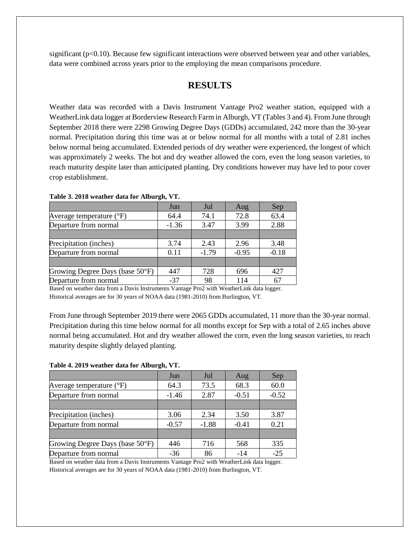significant ( $p<0.10$ ). Because few significant interactions were observed between year and other variables, data were combined across years prior to the employing the mean comparisons procedure.

# **RESULTS**

Weather data was recorded with a Davis Instrument Vantage Pro2 weather station, equipped with a WeatherLink data logger at Borderview Research Farm in Alburgh, VT (Tables 3 and 4). From June through September 2018 there were 2298 Growing Degree Days (GDDs) accumulated, 242 more than the 30-year normal. Precipitation during this time was at or below normal for all months with a total of 2.81 inches below normal being accumulated. Extended periods of dry weather were experienced, the longest of which was approximately 2 weeks. The hot and dry weather allowed the corn, even the long season varieties, to reach maturity despite later than anticipated planting. Dry conditions however may have led to poor cover crop establishment.

|                                   | Jun     | Jul     | Aug     | Sep     |
|-----------------------------------|---------|---------|---------|---------|
| Average temperature $(^{\circ}F)$ | 64.4    | 74.1    | 72.8    | 63.4    |
| Departure from normal             | $-1.36$ | 3.47    | 3.99    | 2.88    |
|                                   |         |         |         |         |
| Precipitation (inches)            | 3.74    | 2.43    | 2.96    | 3.48    |
| Departure from normal             | 0.11    | $-1.79$ | $-0.95$ | $-0.18$ |
|                                   |         |         |         |         |
| Growing Degree Days (base 50°F)   | 447     | 728     | 696     | 427     |
| Departure from normal             | $-37$   | 98      | 114     |         |

**Table 3. 2018 weather data for Alburgh, VT.**

Based on weather data from a Davis Instruments Vantage Pro2 with WeatherLink data logger. Historical averages are for 30 years of NOAA data (1981-2010) from Burlington, VT.

From June through September 2019 there were 2065 GDDs accumulated, 11 more than the 30-year normal. Precipitation during this time below normal for all months except for Sep with a total of 2.65 inches above normal being accumulated. Hot and dry weather allowed the corn, even the long season varieties, to reach maturity despite slightly delayed planting.

#### **Table 4. 2019 weather data for Alburgh, VT.**

|                                     | Jun     | Jul     | Aug     | Sep     |
|-------------------------------------|---------|---------|---------|---------|
| Average temperature $({}^{\circ}F)$ | 64.3    | 73.5    | 68.3    | 60.0    |
| Departure from normal               | $-1.46$ | 2.87    | $-0.51$ | $-0.52$ |
|                                     |         |         |         |         |
| Precipitation (inches)              | 3.06    | 2.34    | 3.50    | 3.87    |
| Departure from normal               | $-0.57$ | $-1.88$ | $-0.41$ | 0.21    |
|                                     |         |         |         |         |
| Growing Degree Days (base 50°F)     | 446     | 716     | 568     | 335     |
| Departure from normal               | $-36$   | 86      | $-14$   | $-25$   |

Based on weather data from a Davis Instruments Vantage Pro2 with WeatherLink data logger. Historical averages are for 30 years of NOAA data (1981-2010) from Burlington, VT.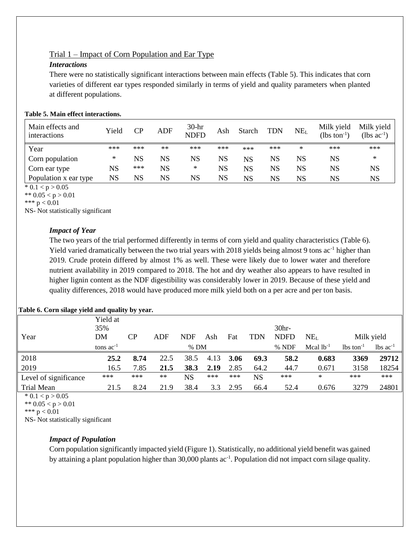# Trial 1 – Impact of Corn Population and Ear Type

# *Interactions*

There were no statistically significant interactions between main effects (Table 5). This indicates that corn varieties of different ear types responded similarly in terms of yield and quality parameters when planted at different populations.

| Table 5. Main effect interactions. |  |
|------------------------------------|--|
|------------------------------------|--|

| Main effects and<br>interactions | Yield       | CР  | ADF         | $30-hr$<br><b>NDFD</b> | Ash | Starch | <b>TDN</b> | NE <sub>L</sub> | Milk yield<br>$(lbs \text{ ton}^{-1})$ | Milk yield<br>$(lbs ac^{-1})$ |
|----------------------------------|-------------|-----|-------------|------------------------|-----|--------|------------|-----------------|----------------------------------------|-------------------------------|
| Year                             | ***         | *** | $**$        | ***                    | *** | ***    | ***        | ∗               | ***                                    | ***                           |
| Corn population                  | ∗           | NS  | NS          | NS                     | NS  | NS     | NS         | NS              | NS                                     | ∗                             |
| Corn ear type                    | NS          | *** | $_{\rm NS}$ | ∗                      | NS  | NS     | NS         | NS              | NS                                     | NS                            |
| Population x ear type            | $_{\rm NS}$ | NS  | NS          | NS                     | NS  | NS     | NS         | NS              | NS                                     | NS                            |

 $* 0.1 < p > 0.05$ 

\*\*  $0.05 < p > 0.01$ 

NS- Not statistically significant

# *Impact of Year*

The two years of the trial performed differently in terms of corn yield and quality characteristics (Table 6). Yield varied dramatically between the two trial years with 2018 yields being almost 9 tons ac<sup>-1</sup> higher than 2019. Crude protein differed by almost 1% as well. These were likely due to lower water and therefore nutrient availability in 2019 compared to 2018. The hot and dry weather also appears to have resulted in higher lignin content as the NDF digestibility was considerably lower in 2019. Because of these yield and quality differences, 2018 would have produced more milk yield both on a per acre and per ton basis.

#### Year Yield at 35% DM CP ADF NDF Ash Fat TDN 30hr-NDFD NE<sup>L</sup> Milk yield tons  $ac^{-1}$  % DM  $\%$  NDF Mcal lb<sup>-1</sup> lbs ton-1  $lbs$  ac<sup>-1</sup> 2018 **25.2 8.74** 22.5 38.5 4.13 **3.06 69.3 58.2 0.683 3369 29712** 2019 16.5 7.85 **21.5 38.3 2.19** 2.85 64.2 44.7 0.671 3158 18254 Level of significance \*\*\* \*\*\* \*\* NS \*\*\* \*\*\* NS \*\*\* \* \*\*\* \*\*\* Trial Mean 21.5 8.24 21.9 38.4 3.3 2.95 66.4 52.4 0.676 3279 24801

**Table 6. Corn silage yield and quality by year.**

 $* 0.1 < p > 0.05$ 

\*\*  $0.05 < p > 0.01$ 

\*\*\*  $p < 0.01$ 

NS- Not statistically significant

# *Impact of Population*

Corn population significantly impacted yield (Figure 1). Statistically, no additional yield benefit was gained by attaining a plant population higher than 30,000 plants ac<sup>-1</sup>. Population did not impact corn silage quality.

<sup>\*\*\*</sup>  $p < 0.01$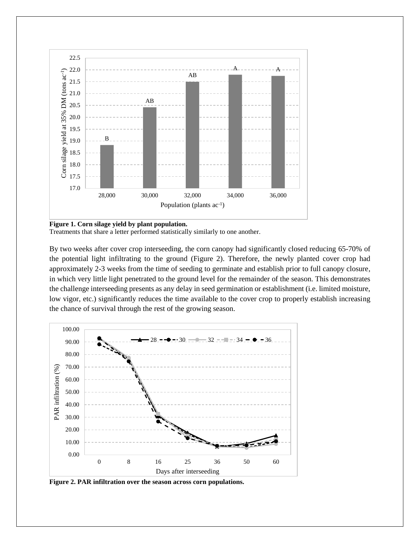

**Figure 1. Corn silage yield by plant population.**

Treatments that share a letter performed statistically similarly to one another.

By two weeks after cover crop interseeding, the corn canopy had significantly closed reducing 65-70% of the potential light infiltrating to the ground (Figure 2). Therefore, the newly planted cover crop had approximately 2-3 weeks from the time of seeding to germinate and establish prior to full canopy closure, in which very little light penetrated to the ground level for the remainder of the season. This demonstrates the challenge interseeding presents as any delay in seed germination or establishment (i.e. limited moisture, low vigor, etc.) significantly reduces the time available to the cover crop to properly establish increasing the chance of survival through the rest of the growing season.



**Figure 2. PAR infiltration over the season across corn populations.**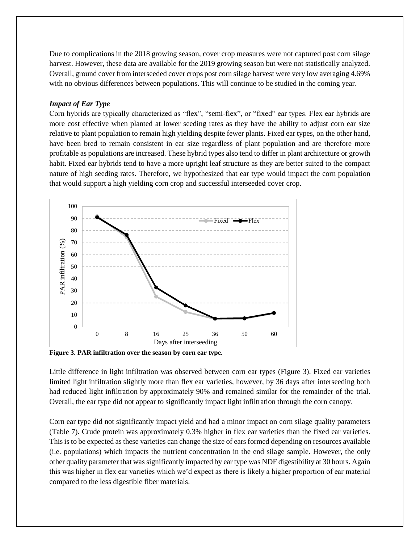Due to complications in the 2018 growing season, cover crop measures were not captured post corn silage harvest. However, these data are available for the 2019 growing season but were not statistically analyzed. Overall, ground cover from interseeded cover crops post corn silage harvest were very low averaging 4.69% with no obvious differences between populations. This will continue to be studied in the coming year.

#### *Impact of Ear Type*

Corn hybrids are typically characterized as "flex", "semi-flex", or "fixed" ear types. Flex ear hybrids are more cost effective when planted at lower seeding rates as they have the ability to adjust corn ear size relative to plant population to remain high yielding despite fewer plants. Fixed ear types, on the other hand, have been bred to remain consistent in ear size regardless of plant population and are therefore more profitable as populations are increased. These hybrid types also tend to differ in plant architecture or growth habit. Fixed ear hybrids tend to have a more upright leaf structure as they are better suited to the compact nature of high seeding rates. Therefore, we hypothesized that ear type would impact the corn population that would support a high yielding corn crop and successful interseeded cover crop.



**Figure 3. PAR infiltration over the season by corn ear type.**

Little difference in light infiltration was observed between corn ear types (Figure 3). Fixed ear varieties limited light infiltration slightly more than flex ear varieties, however, by 36 days after interseeding both had reduced light infiltration by approximately 90% and remained similar for the remainder of the trial. Overall, the ear type did not appear to significantly impact light infiltration through the corn canopy.

Corn ear type did not significantly impact yield and had a minor impact on corn silage quality parameters (Table 7). Crude protein was approximately 0.3% higher in flex ear varieties than the fixed ear varieties. This is to be expected as these varieties can change the size of ears formed depending on resources available (i.e. populations) which impacts the nutrient concentration in the end silage sample. However, the only other quality parameter that was significantly impacted by ear type was NDF digestibility at 30 hours. Again this was higher in flex ear varieties which we'd expect as there is likely a higher proportion of ear material compared to the less digestible fiber materials.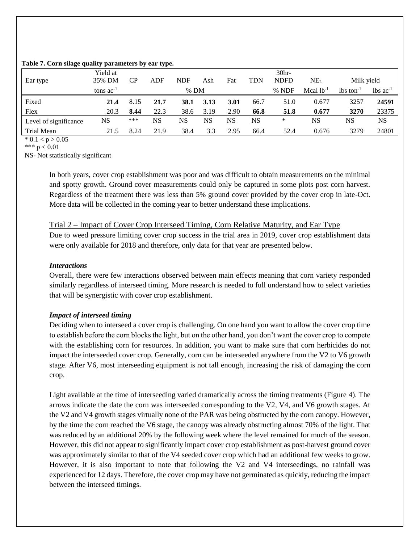#### **Table 7. Corn silage quality parameters by ear type.**

|                       | Yield at       |           |      |             |      |      |      | 30 <sub>hr</sub> |                |                                     |                        |
|-----------------------|----------------|-----------|------|-------------|------|------|------|------------------|----------------|-------------------------------------|------------------------|
| Ear type              | 35% DM         | <b>CP</b> | ADF  | <b>NDF</b>  | Ash  | Fat  | TDN  | <b>NDFD</b>      | $\rm NE_L$     | Milk yield                          |                        |
|                       | tons $ac^{-1}$ |           |      | $%$ DM      |      |      |      | % NDF            | Mcal $1b^{-1}$ | $\frac{1}{2}$ lbs ton <sup>-1</sup> | $lbs$ ac <sup>-1</sup> |
| Fixed                 | 21.4           | 8.15      | 21.7 | <b>38.1</b> | 3.13 | 3.01 | 66.7 | 51.0             | 0.677          | 3257                                | 24591                  |
| Flex                  | 20.3           | 8.44      | 22.3 | 38.6        | 3.19 | 2.90 | 66.8 | 51.8             | 0.677          | 3270                                | 23375                  |
| Level of significance | NS             | ***       | NS   | NS          | NS   | NS   | NS   | *                | NS             | NS                                  | <b>NS</b>              |
| Trial Mean            | 21.5           | 8.24      | 21.9 | 38.4        | 3.3  | 2.95 | 66.4 | 52.4             | 0.676          | 3279                                | 24801                  |

 $* 0.1 < p > 0.05$ 

\*\*\* p < 0.01

NS- Not statistically significant

In both years, cover crop establishment was poor and was difficult to obtain measurements on the minimal and spotty growth. Ground cover measurements could only be captured in some plots post corn harvest. Regardless of the treatment there was less than 5% ground cover provided by the cover crop in late-Oct. More data will be collected in the coming year to better understand these implications.

Trial 2 – Impact of Cover Crop Interseed Timing, Corn Relative Maturity, and Ear Type Due to weed pressure limiting cover crop success in the trial area in 2019, cover crop establishment data were only available for 2018 and therefore, only data for that year are presented below.

## *Interactions*

Overall, there were few interactions observed between main effects meaning that corn variety responded similarly regardless of interseed timing. More research is needed to full understand how to select varieties that will be synergistic with cover crop establishment.

## *Impact of interseed timing*

Deciding when to interseed a cover crop is challenging. On one hand you want to allow the cover crop time to establish before the corn blocks the light, but on the other hand, you don't want the cover crop to compete with the establishing corn for resources. In addition, you want to make sure that corn herbicides do not impact the interseeded cover crop. Generally, corn can be interseeded anywhere from the V2 to V6 growth stage. After V6, most interseeding equipment is not tall enough, increasing the risk of damaging the corn crop.

Light available at the time of interseeding varied dramatically across the timing treatments (Figure 4). The arrows indicate the date the corn was interseeded corresponding to the V2, V4, and V6 growth stages. At the V2 and V4 growth stages virtually none of the PAR was being obstructed by the corn canopy. However, by the time the corn reached the V6 stage, the canopy was already obstructing almost 70% of the light. That was reduced by an additional 20% by the following week where the level remained for much of the season. However, this did not appear to significantly impact cover crop establishment as post-harvest ground cover was approximately similar to that of the V4 seeded cover crop which had an additional few weeks to grow. However, it is also important to note that following the V2 and V4 interseedings, no rainfall was experienced for 12 days. Therefore, the cover crop may have not germinated as quickly, reducing the impact between the interseed timings.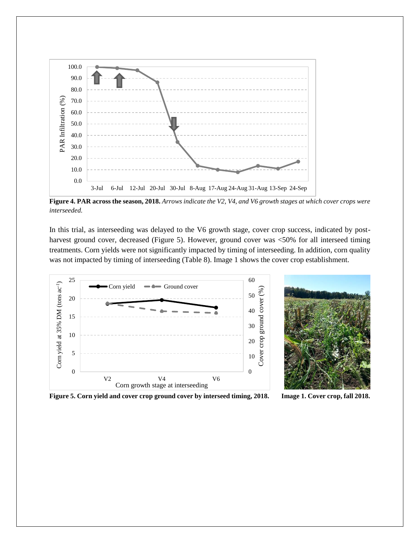

**Figure 4. PAR across the season, 2018.** *Arrows indicate the V2, V4, and V6 growth stages at which cover crops were interseeded.*

In this trial, as interseeding was delayed to the V6 growth stage, cover crop success, indicated by postharvest ground cover, decreased (Figure 5). However, ground cover was <50% for all interseed timing treatments. Corn yields were not significantly impacted by timing of interseeding. In addition, corn quality was not impacted by timing of interseeding (Table 8). Image 1 shows the cover crop establishment.





**Figure 5. Corn yield and cover crop ground cover by interseed timing, 2018. Image 1. Cover crop, fall 2018.**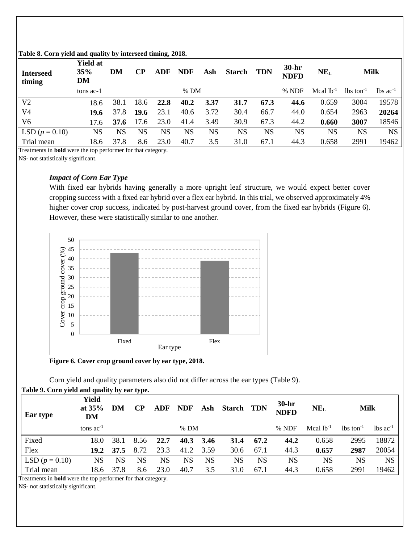| <b>Interseed</b><br>timing | <b>Yield at</b><br>35%<br>DM | DM        | $\bf CP$ | ADF  | <b>NDF</b> | Ash  | <b>Starch</b> | <b>TDN</b> | $30-hr$<br><b>NDFD</b> | NE <sub>L</sub> | <b>Milk</b>             |                               |
|----------------------------|------------------------------|-----------|----------|------|------------|------|---------------|------------|------------------------|-----------------|-------------------------|-------------------------------|
|                            | tons ac-1                    |           |          |      | $%$ DM     |      |               |            | % NDF                  | Mcal $lb^{-1}$  | $lbs$ ton <sup>-1</sup> | $\text{lbs}$ ac <sup>-1</sup> |
| V <sub>2</sub>             | 18.6                         | 38.1      | 18.6     | 22.8 | 40.2       | 3.37 | 31.7          | 67.3       | 44.6                   | 0.659           | 3004                    | 19578                         |
| V <sub>4</sub>             | 19.6                         | 37.8      | 19.6     | 23.1 | 40.6       | 3.72 | 30.4          | 66.7       | 44.0                   | 0.654           | 2963                    | 20264                         |
| V <sub>6</sub>             | 17.6                         | 37.6      | 17.6     | 23.0 | 41.4       | 3.49 | 30.9          | 67.3       | 44.2                   | 0.660           | 3007                    | 18546                         |
| LSD $(p = 0.10)$           | NS                           | <b>NS</b> | NS       | NS   | NS         | NS   | NS            | NS         | NS                     | NS              | NS                      | NS                            |
| Trial mean                 | 18.6                         | 37.8      | 8.6      | 23.0 | 40.7       | 3.5  | 31.0          | 67.1       | 44.3                   | 0.658           | 2991                    | 19462                         |

## **Table 8. Corn yield and quality by interseed timing, 2018.**

Treatments in **bold** were the top performer for that category.

NS- not statistically significant.

# *Impact of Corn Ear Type*

With fixed ear hybrids having generally a more upright leaf structure, we would expect better cover cropping success with a fixed ear hybrid over a flex ear hybrid. In this trial, we observed approximately 4% higher cover crop success, indicated by post-harvest ground cover, from the fixed ear hybrids (Figure 6). However, these were statistically similar to one another.



**Figure 6. Cover crop ground cover by ear type, 2018.**

Corn yield and quality parameters also did not differ across the ear types (Table 9).

| $\frac{1}{2}$ and $\frac{1}{2}$ . So the state of the state $\frac{1}{2}$ and $\frac{1}{2}$ and $\frac{1}{2}$ are stated in $\frac{1}{2}$ |                         |      |           |            |            |      |            |      |                        |                 |                                 |                                |
|-------------------------------------------------------------------------------------------------------------------------------------------|-------------------------|------|-----------|------------|------------|------|------------|------|------------------------|-----------------|---------------------------------|--------------------------------|
| Ear type                                                                                                                                  | Yield<br>at $35%$<br>DM | DM   | <b>CP</b> | <b>ADF</b> | <b>NDF</b> | Ash  | Starch TDN |      | $30-hr$<br><b>NDFD</b> | NE <sub>L</sub> | Milk                            |                                |
|                                                                                                                                           | tons $ac^{-1}$          |      |           |            | $%$ DM     |      |            |      | $%$ NDF                | Mcal $lb^{-1}$  | $\lambda$ lbs ton <sup>-1</sup> | $\lambda$ lbs ac <sup>-1</sup> |
| Fixed                                                                                                                                     | 18.0                    | 38.1 | 8.56      | 22.7       | 40.3       | 3.46 | 31.4       | 67.2 | 44.2                   | 0.658           | 2995                            | 18872                          |
| Flex                                                                                                                                      | 19.2                    | 37.5 | 8.72      | 23.3       | 41.2       | 3.59 | 30.6       | 67.1 | 44.3                   | 0.657           | 2987                            | 20054                          |
| LSD $(p = 0.10)$                                                                                                                          | <b>NS</b>               | NS   | NS        | NS         | NS         | NS   | NS         | NS   | NS                     | <b>NS</b>       | NS                              | <b>NS</b>                      |
| Trial mean                                                                                                                                | 18.6                    | 37.8 | 8.6       | 23.0       | 40.7       | 3.5  | 31.0       | 67.1 | 44.3                   | 0.658           | 2991                            | 19462                          |

**Table 9. Corn yield and quality by ear type.**

Treatments in **bold** were the top performer for that category.

NS- not statistically significant.